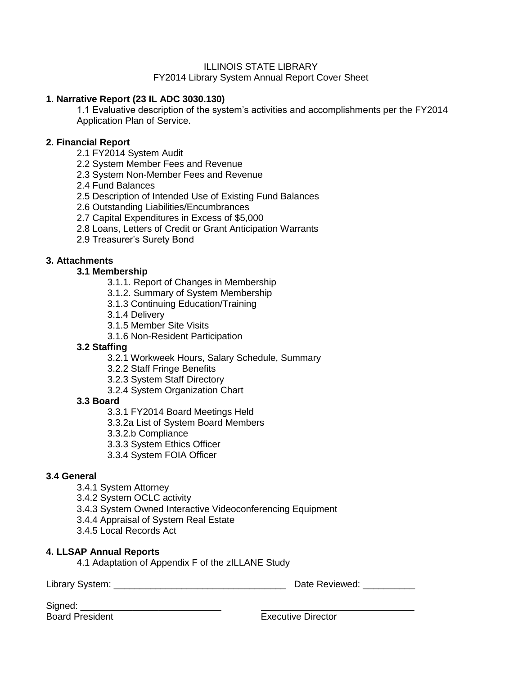# ILLINOIS STATE LIBRARY

# FY2014 Library System Annual Report Cover Sheet

# **1. Narrative Report (23 IL ADC 3030.130)**

1.1 Evaluative description of the system's activities and accomplishments per the FY2014 Application Plan of Service.

# **2. Financial Report**

- 2.1 FY2014 System Audit
- 2.2 System Member Fees and Revenue
- 2.3 System Non-Member Fees and Revenue
- 2.4 Fund Balances
- 2.5 Description of Intended Use of Existing Fund Balances
- 2.6 Outstanding Liabilities/Encumbrances
- 2.7 Capital Expenditures in Excess of \$5,000
- 2.8 Loans, Letters of Credit or Grant Anticipation Warrants
- 2.9 Treasurer's Surety Bond

# **3. Attachments**

# **3.1 Membership**

- 3.1.1. Report of Changes in Membership
- 3.1.2. Summary of System Membership
- 3.1.3 Continuing Education/Training
- 3.1.4 Delivery
- 3.1.5 Member Site Visits
- 3.1.6 Non-Resident Participation

# **3.2 Staffing**

- 3.2.1 Workweek Hours, Salary Schedule, Summary
- 3.2.2 Staff Fringe Benefits
- 3.2.3 System Staff Directory
- 3.2.4 System Organization Chart

# **3.3 Board**

- 3.3.1 FY2014 Board Meetings Held
- 3.3.2a List of System Board Members
- 3.3.2.b Compliance
- 3.3.3 System Ethics Officer
- 3.3.4 System FOIA Officer

# **3.4 General**

- 3.4.1 System Attorney
- 3.4.2 System OCLC activity
- 3.4.3 System Owned Interactive Videoconferencing Equipment
- 3.4.4 Appraisal of System Real Estate
- 3.4.5 Local Records Act

# **4. LLSAP Annual Reports**

4.1 Adaptation of Appendix F of the zILLANE Study

Library System: \_\_\_\_\_\_\_\_\_\_\_\_\_\_\_\_\_\_\_\_\_\_\_\_\_\_\_\_\_\_\_\_\_ Date Reviewed: \_\_\_\_\_\_\_\_\_\_

| Signed:                |  |
|------------------------|--|
| <b>Board President</b> |  |

**Executive Director**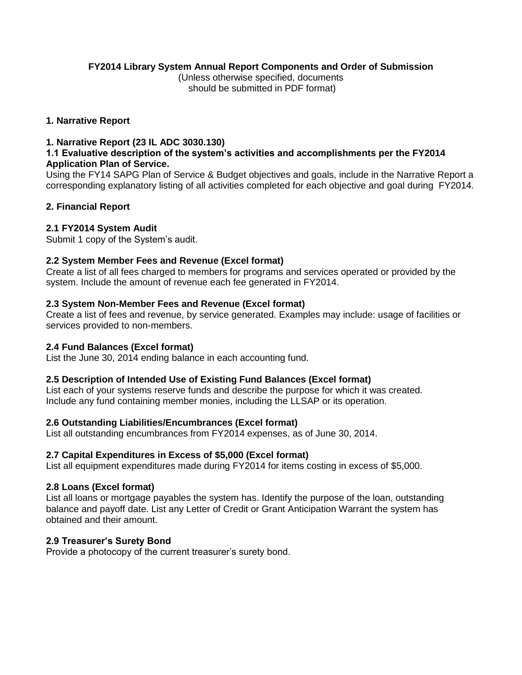# **FY2014 Library System Annual Report Components and Order of Submission**

(Unless otherwise specified, documents should be submitted in PDF format)

### **1. Narrative Report**

# **1. Narrative Report (23 IL ADC 3030.130)**

### **1.1 Evaluative description of the system's activities and accomplishments per the FY2014 Application Plan of Service.**

Using the FY14 SAPG Plan of Service & Budget objectives and goals, include in the Narrative Report a corresponding explanatory listing of all activities completed for each objective and goal during FY2014.

# **2. Financial Report**

# **2.1 FY2014 System Audit**

Submit 1 copy of the System's audit.

# **2.2 System Member Fees and Revenue (Excel format)**

Create a list of all fees charged to members for programs and services operated or provided by the system. Include the amount of revenue each fee generated in FY2014.

# **2.3 System Non-Member Fees and Revenue (Excel format)**

Create a list of fees and revenue, by service generated. Examples may include: usage of facilities or services provided to non-members.

# **2.4 Fund Balances (Excel format)**

List the June 30, 2014 ending balance in each accounting fund.

# **2.5 Description of Intended Use of Existing Fund Balances (Excel format)**

List each of your systems reserve funds and describe the purpose for which it was created. Include any fund containing member monies, including the LLSAP or its operation.

# **2.6 Outstanding Liabilities/Encumbrances (Excel format)**

List all outstanding encumbrances from FY2014 expenses, as of June 30, 2014.

# **2.7 Capital Expenditures in Excess of \$5,000 (Excel format)**

List all equipment expenditures made during FY2014 for items costing in excess of \$5,000.

# **2.8 Loans (Excel format)**

List all loans or mortgage payables the system has. Identify the purpose of the loan, outstanding balance and payoff date. List any Letter of Credit or Grant Anticipation Warrant the system has obtained and their amount.

# **2.9 Treasurer's Surety Bond**

Provide a photocopy of the current treasurer's surety bond.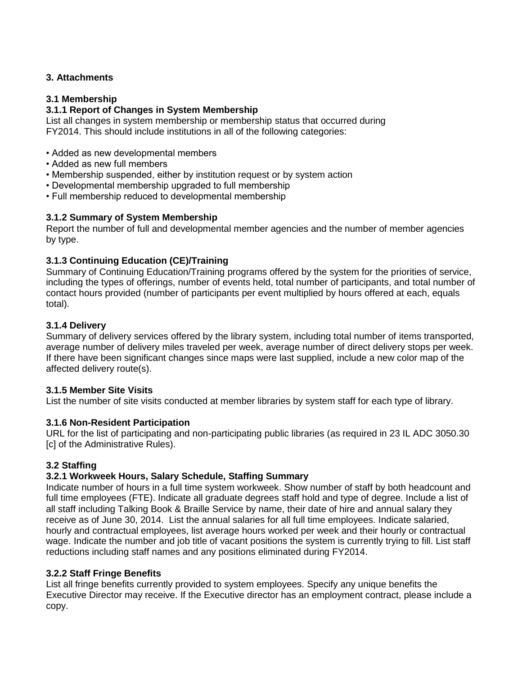# **3. Attachments**

# **3.1 Membership**

# **3.1.1 Report of Changes in System Membership**

List all changes in system membership or membership status that occurred during FY2014. This should include institutions in all of the following categories:

- Added as new developmental members
- Added as new full members
- Membership suspended, either by institution request or by system action
- Developmental membership upgraded to full membership
- Full membership reduced to developmental membership

#### **3.1.2 Summary of System Membership**

Report the number of full and developmental member agencies and the number of member agencies by type.

# **3.1.3 Continuing Education (CE)/Training**

Summary of Continuing Education/Training programs offered by the system for the priorities of service, including the types of offerings, number of events held, total number of participants, and total number of contact hours provided (number of participants per event multiplied by hours offered at each, equals total).

#### **3.1.4 Delivery**

Summary of delivery services offered by the library system, including total number of items transported, average number of delivery miles traveled per week, average number of direct delivery stops per week. If there have been significant changes since maps were last supplied, include a new color map of the affected delivery route(s).

#### **3.1.5 Member Site Visits**

List the number of site visits conducted at member libraries by system staff for each type of library.

#### **3.1.6 Non-Resident Participation**

URL for the list of participating and non-participating public libraries (as required in 23 IL ADC 3050.30 [c] of the Administrative Rules).

# **3.2 Staffing**

# **3.2.1 Workweek Hours, Salary Schedule, Staffing Summary**

Indicate number of hours in a full time system workweek. Show number of staff by both headcount and full time employees (FTE). Indicate all graduate degrees staff hold and type of degree. Include a list of all staff including Talking Book & Braille Service by name, their date of hire and annual salary they receive as of June 30, 2014. List the annual salaries for all full time employees. Indicate salaried, hourly and contractual employees, list average hours worked per week and their hourly or contractual wage. Indicate the number and job title of vacant positions the system is currently trying to fill. List staff reductions including staff names and any positions eliminated during FY2014.

#### **3.2.2 Staff Fringe Benefits**

List all fringe benefits currently provided to system employees. Specify any unique benefits the Executive Director may receive. If the Executive director has an employment contract, please include a copy.